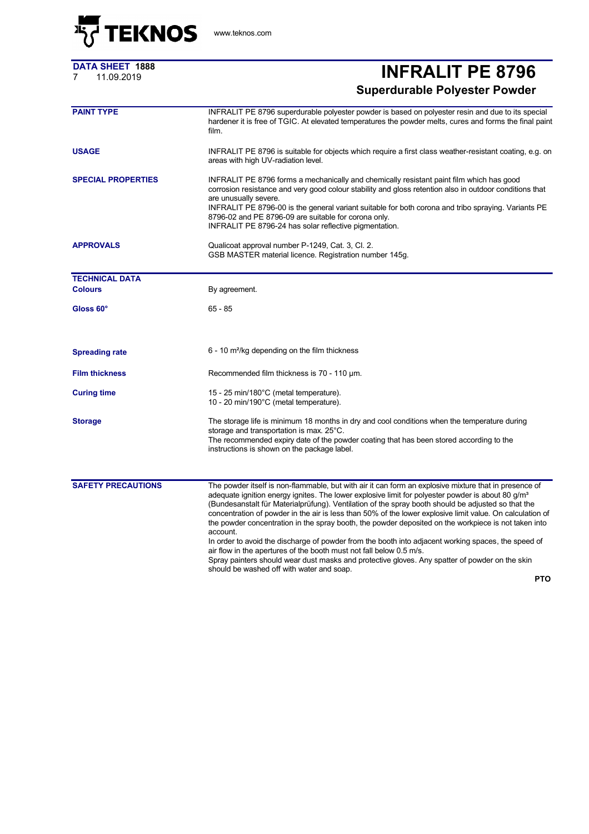

## **DATA SHEET 1888**

## <sup>7</sup> 11.09.2019 **INFRALIT PE 8796 Superdurable Polyester Powder**

| <b>PAINT TYPE</b>         | INFRALIT PE 8796 superdurable polyester powder is based on polyester resin and due to its special<br>hardener it is free of TGIC. At elevated temperatures the powder melts, cures and forms the final paint<br>film.                                                                                                                                                                                                                                                                                                                                                                                                                                                                                                             |  |  |
|---------------------------|-----------------------------------------------------------------------------------------------------------------------------------------------------------------------------------------------------------------------------------------------------------------------------------------------------------------------------------------------------------------------------------------------------------------------------------------------------------------------------------------------------------------------------------------------------------------------------------------------------------------------------------------------------------------------------------------------------------------------------------|--|--|
| <b>USAGE</b>              | INFRALIT PE 8796 is suitable for objects which require a first class weather-resistant coating, e.g. on<br>areas with high UV-radiation level.                                                                                                                                                                                                                                                                                                                                                                                                                                                                                                                                                                                    |  |  |
| <b>SPECIAL PROPERTIES</b> | INFRALIT PE 8796 forms a mechanically and chemically resistant paint film which has good<br>corrosion resistance and very good colour stability and gloss retention also in outdoor conditions that<br>are unusually severe.<br>INFRALIT PE 8796-00 is the general variant suitable for both corona and tribo spraying. Variants PE<br>8796-02 and PE 8796-09 are suitable for corona only.<br>INFRALIT PE 8796-24 has solar reflective pigmentation.                                                                                                                                                                                                                                                                             |  |  |
| <b>APPROVALS</b>          | Qualicoat approval number P-1249, Cat. 3, Cl. 2.<br>GSB MASTER material licence. Registration number 145g.                                                                                                                                                                                                                                                                                                                                                                                                                                                                                                                                                                                                                        |  |  |
| <b>TECHNICAL DATA</b>     |                                                                                                                                                                                                                                                                                                                                                                                                                                                                                                                                                                                                                                                                                                                                   |  |  |
| <b>Colours</b>            | By agreement.                                                                                                                                                                                                                                                                                                                                                                                                                                                                                                                                                                                                                                                                                                                     |  |  |
| Gloss 60°                 | $65 - 85$                                                                                                                                                                                                                                                                                                                                                                                                                                                                                                                                                                                                                                                                                                                         |  |  |
| <b>Spreading rate</b>     | $6 - 10$ m <sup>2</sup> /kg depending on the film thickness                                                                                                                                                                                                                                                                                                                                                                                                                                                                                                                                                                                                                                                                       |  |  |
| <b>Film thickness</b>     | Recommended film thickness is 70 - 110 µm.                                                                                                                                                                                                                                                                                                                                                                                                                                                                                                                                                                                                                                                                                        |  |  |
| <b>Curing time</b>        | 15 - 25 min/180°C (metal temperature).<br>10 - 20 min/190°C (metal temperature).                                                                                                                                                                                                                                                                                                                                                                                                                                                                                                                                                                                                                                                  |  |  |
| <b>Storage</b>            | The storage life is minimum 18 months in dry and cool conditions when the temperature during<br>storage and transportation is max. 25°C.<br>The recommended expiry date of the powder coating that has been stored according to the<br>instructions is shown on the package label.                                                                                                                                                                                                                                                                                                                                                                                                                                                |  |  |
| <b>SAFETY PRECAUTIONS</b> | The powder itself is non-flammable, but with air it can form an explosive mixture that in presence of<br>adequate ignition energy ignites. The lower explosive limit for polyester powder is about 80 $g/m3$<br>(Bundesanstalt für Materialprüfung). Ventilation of the spray booth should be adjusted so that the<br>concentration of powder in the air is less than 50% of the lower explosive limit value. On calculation of<br>the powder concentration in the spray booth, the powder deposited on the workpiece is not taken into<br>account.<br>In order to avoid the discharge of powder from the booth into adjacent working spaces, the speed of<br>air flow in the apertures of the booth must not fall below 0.5 m/s. |  |  |
|                           | Spray painters should wear dust masks and protective gloves. Any spatter of powder on the skin<br>should be washed off with water and soap.                                                                                                                                                                                                                                                                                                                                                                                                                                                                                                                                                                                       |  |  |

**PTO**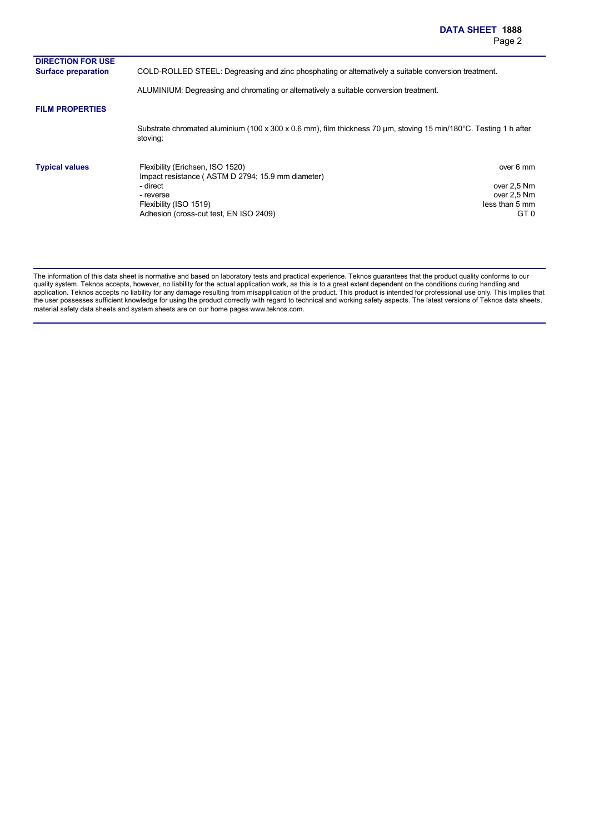| <b>DIRECTION FOR USE</b>   |                                                                                                                                                                                    |                                                                   |
|----------------------------|------------------------------------------------------------------------------------------------------------------------------------------------------------------------------------|-------------------------------------------------------------------|
| <b>Surface preparation</b> | COLD-ROLLED STEEL: Degreasing and zinc phosphating or alternatively a suitable conversion treatment.                                                                               |                                                                   |
|                            | ALUMINIUM: Degreasing and chromating or alternatively a suitable conversion treatment.                                                                                             |                                                                   |
| <b>FILM PROPERTIES</b>     |                                                                                                                                                                                    |                                                                   |
|                            | Substrate chromated aluminium (100 x 300 x 0.6 mm), film thickness 70 um, stoving 15 min/180°C. Testing 1 h after<br>stoving:                                                      |                                                                   |
| <b>Typical values</b>      | Flexibility (Erichsen, ISO 1520)<br>Impact resistance (ASTM D 2794; 15.9 mm diameter)<br>- direct<br>- reverse<br>Flexibility (ISO 1519)<br>Adhesion (cross-cut test, EN ISO 2409) | over 6 mm<br>over 2,5 Nm<br>over 2,5 Nm<br>less than 5 mm<br>GT 0 |

The information of this data sheet is normative and based on laboratory tests and practical experience. Teknos guarantees that the product quality conforms to our quality system. Teknos accepts, however, no liability for the actual application work, as this is to a great extent dependent on the conditions during handling and application. Teknos accepts no liability for any damage resulting from misapplication of the product. This product is intended for professional use only. This implies that the user possesses sufficient knowledge for using the product correctly with regard to technical and working safety aspects. The latest versions of Teknos data sheets, material safety data sheets and system sheets are on our home pages www.teknos.com.